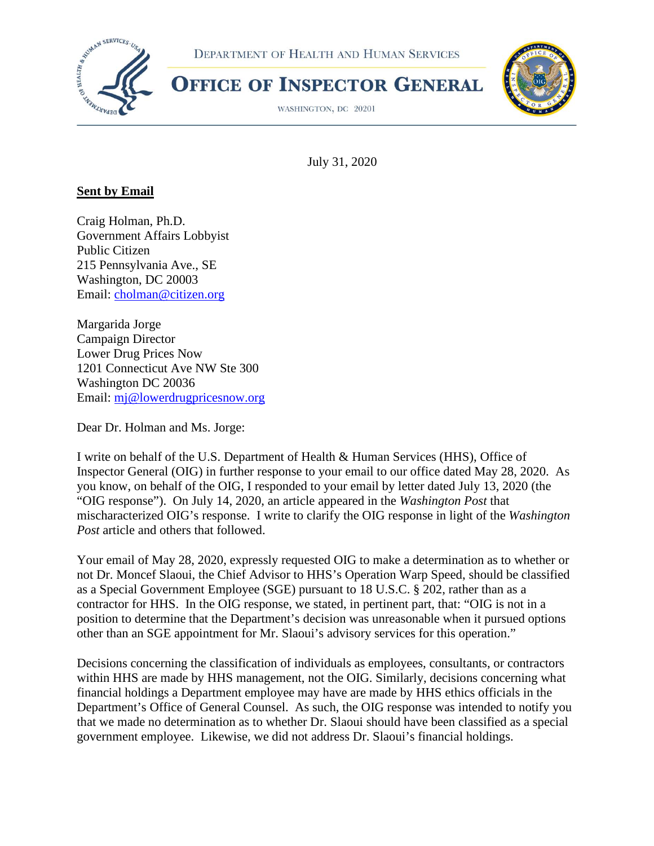





WASHINGTON, DC 20201

July 31, 2020

## **Sent by Email**

Craig Holman, Ph.D. Government Affairs Lobbyist Public Citizen 215 Pennsylvania Ave., SE Washington, DC 20003 Email: [cholman@citizen.org](mailto:cholman@citizen.org)

Margarida Jorge Campaign Director Lower Drug Prices Now 1201 Connecticut Ave NW Ste 300 Washington DC 20036 Email: [mj@lowerdrugpricesnow.org](mailto:mj@lowerdrugpricesnow.org)

Dear Dr. Holman and Ms. Jorge:

I write on behalf of the U.S. Department of Health & Human Services (HHS), Office of Inspector General (OIG) in further response to your email to our office dated May 28, 2020. As you know, on behalf of the OIG, I responded to your email by letter dated July 13, 2020 (the "OIG response"). On July 14, 2020, an article appeared in the *Washington Post* that mischaracterized OIG's response. I write to clarify the OIG response in light of the *Washington Post* article and others that followed.

Your email of May 28, 2020, expressly requested OIG to make a determination as to whether or not Dr. Moncef Slaoui, the Chief Advisor to HHS's Operation Warp Speed, should be classified as a Special Government Employee (SGE) pursuant to 18 U.S.C. § 202, rather than as a contractor for HHS. In the OIG response, we stated, in pertinent part, that: "OIG is not in a position to determine that the Department's decision was unreasonable when it pursued options other than an SGE appointment for Mr. Slaoui's advisory services for this operation."

Decisions concerning the classification of individuals as employees, consultants, or contractors within HHS are made by HHS management, not the OIG. Similarly, decisions concerning what financial holdings a Department employee may have are made by HHS ethics officials in the Department's Office of General Counsel. As such, the OIG response was intended to notify you that we made no determination as to whether Dr. Slaoui should have been classified as a special government employee. Likewise, we did not address Dr. Slaoui's financial holdings.